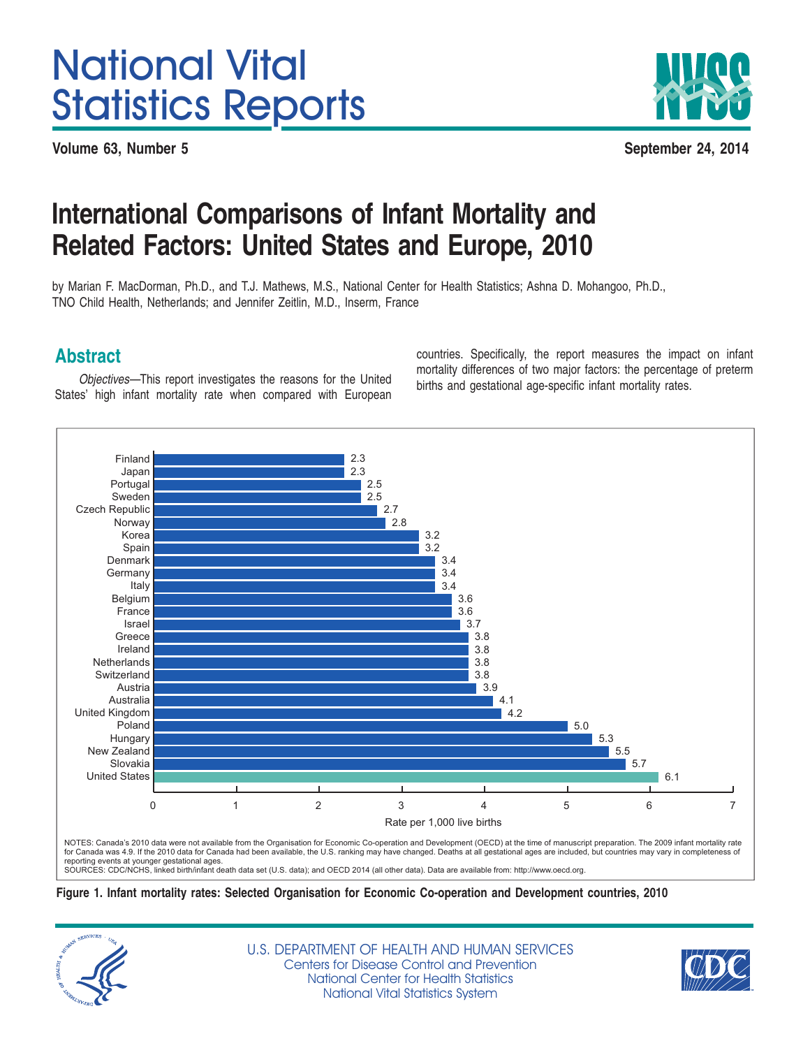# <span id="page-0-0"></span>National Vital Statistics Reports

**Volume 63, Number 5 September 24, 2014**



# **International Comparisons of Infant Mortality and Related Factors: United States and Europe, 2010**

by Marian F. MacDorman, Ph.D., and T.J. Mathews, M.S., National Center for Health Statistics; Ashna D. Mohangoo, Ph.D., TNO Child Health, Netherlands; and Jennifer Zeitlin, M.D., Inserm, France

Objectives—This report investigates the reasons for the United births and gestational age-specific infant mortality rates.<br>States' high infant mortality rate when compared with European

**Abstract** countries. Specifically, the report measures the impact on infant countries. Specifically, the report measures the impact on infant mortality differences of two major factors: the percentage of preterm



reporting events at younger gestational ages.<br>SOURCES: CDC/NCHS, linked birth/infant death data set (U.S. data); and OECD 2014 (all other data). Data are available from: <http://www.oecd.org>.

**Figure 1. Infant mortality rates: Selected Organisation for Economic Co-operation and Development countries, 2010**



U.S. DEPARTMENT OF HEALTH AND HUMAN SERVICES Centers for Disease Control and Prevention National Center for Health Statistics National Vital Statistics System

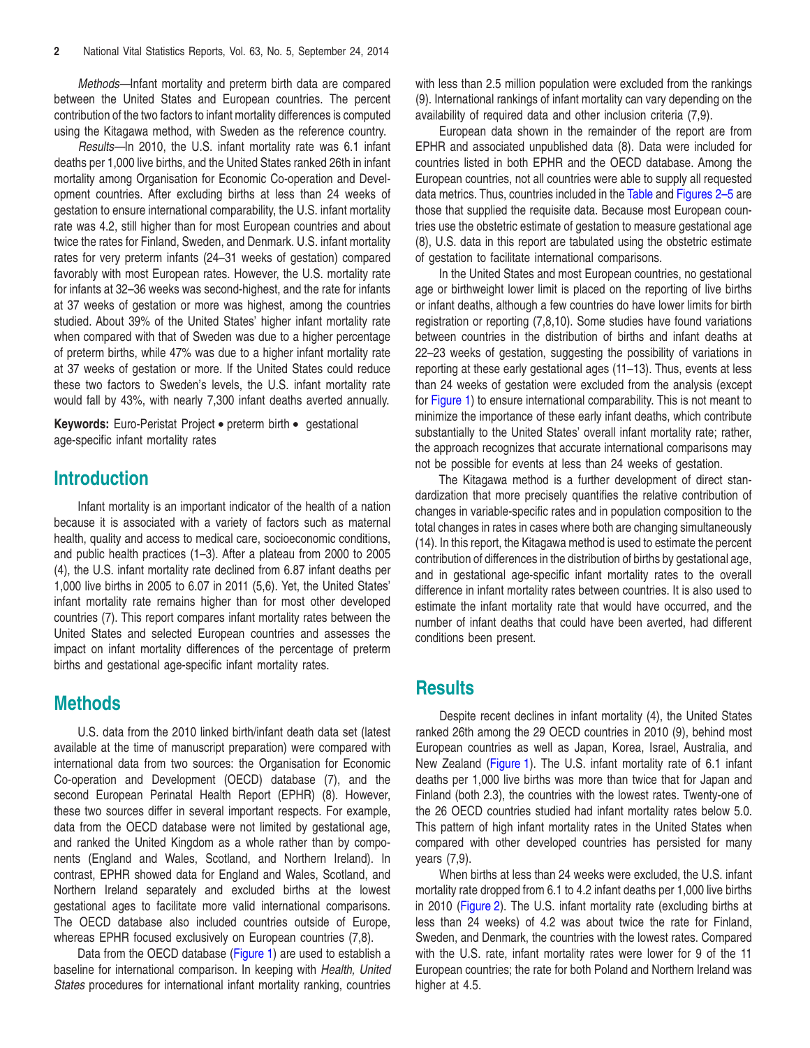<span id="page-1-0"></span>*Methods—*Infant mortality and preterm birth data are compared between the United States and European countries. The percent contribution of the two factors to infant mortality differences is computed using the Kitagawa method, with Sweden as the reference country.

*Results—*In 2010, the U.S. infant mortality rate was 6.1 infant deaths per 1,000 live births, and the United States ranked 26th in infant mortality among Organisation for Economic Co-operation and Development countries. After excluding births at less than 24 weeks of gestation to ensure international comparability, the U.S. infant mortality rate was 4.2, still higher than for most European countries and about twice the rates for Finland, Sweden, and Denmark. U.S. infant mortality rates for very preterm infants (24–31 weeks of gestation) compared favorably with most European rates. However, the U.S. mortality rate for infants at 32–36 weeks was second-highest, and the rate for infants at 37 weeks of gestation or more was highest, among the countries studied. About 39% of the United States' higher infant mortality rate when compared with that of Sweden was due to a higher percentage of preterm births, while 47% was due to a higher infant mortality rate at 37 weeks of gestation or more. If the United States could reduce these two factors to Sweden's levels, the U.S. infant mortality rate would fall by 43%, with nearly 7,300 infant deaths averted annually.

**Keywords:** Euro-Peristat Project • preterm birth • gestational age-specific infant mortality rates

# **Introduction**

Infant mortality is an important indicator of the health of a nation because it is associated with a variety of factors such as maternal health, quality and access to medical care, socioeconomic conditions, and public health practices (1–3). After a plateau from 2000 to 2005 (4), the U.S. infant mortality rate declined from 6.87 infant deaths per 1,000 live births in 2005 to 6.07 in 2011 (5,6). Yet, the United States' infant mortality rate remains higher than for most other developed countries (7). This report compares infant mortality rates between the United States and selected European countries and assesses the impact on infant mortality differences of the percentage of preterm births and gestational age-specific infant mortality rates.

# **Methods**

U.S. data from the 2010 linked birth/infant death data set (latest available at the time of manuscript preparation) were compared with international data from two sources: the Organisation for Economic Co-operation and Development (OECD) database (7), and the second European Perinatal Health Report (EPHR) (8). However, these two sources differ in several important respects. For example, data from the OECD database were not limited by gestational age, and ranked the United Kingdom as a whole rather than by components (England and Wales, Scotland, and Northern Ireland). In contrast, EPHR showed data for England and Wales, Scotland, and Northern Ireland separately and excluded births at the lowest gestational ages to facilitate more valid international comparisons. The OECD database also included countries outside of Europe, whereas EPHR focused exclusively on European countries (7,8).

Data from the OECD database [\(Figure](#page-0-0) 1) are used to establish a baseline for international comparison. In keeping with *Health, United States* procedures for international infant mortality ranking, countries

with less than 2.5 million population were excluded from the rankings (9). International rankings of infant mortality can vary depending on the availability of required data and other inclusion criteria (7,9).

European data shown in the remainder of the report are from EPHR and associated unpublished data (8). Data were included for countries listed in both EPHR and the OECD database. Among the European countries, not all countries were able to supply all requested data metrics. Thus, countries included in the [Table](#page-2-0) and [Figures](#page-2-0) 2-5 are those that supplied the requisite data. Because most European countries use the obstetric estimate of gestation to measure gestational age (8), U.S. data in this report are tabulated using the obstetric estimate of gestation to facilitate international comparisons.

In the United States and most European countries, no gestational age or birthweight lower limit is placed on the reporting of live births or infant deaths, although a few countries do have lower limits for birth registration or reporting (7,8,10). Some studies have found variations between countries in the distribution of births and infant deaths at 22–23 weeks of gestation, suggesting the possibility of variations in reporting at these early gestational ages (11–13). Thus, events at less than 24 weeks of gestation were excluded from the analysis (except for [Figure](#page-0-0) 1) to ensure international comparability. This is not meant to minimize the importance of these early infant deaths, which contribute substantially to the United States' overall infant mortality rate; rather, the approach recognizes that accurate international comparisons may not be possible for events at less than 24 weeks of gestation.

The Kitagawa method is a further development of direct standardization that more precisely quantifies the relative contribution of changes in variable-specific rates and in population composition to the total changes in rates in cases where both are changing simultaneously (14). In this report, the Kitagawa method is used to estimate the percent contribution of differences in the distribution of births by gestational age, and in gestational age-specific infant mortality rates to the overall difference in infant mortality rates between countries. It is also used to estimate the infant mortality rate that would have occurred, and the number of infant deaths that could have been averted, had different conditions been present.

# **Results**

Despite recent declines in infant mortality (4), the United States ranked 26th among the 29 OECD countries in 2010 (9), behind most European countries as well as Japan, Korea, Israel, Australia, and New Zealand [\(Figure](#page-0-0) 1). The U.S. infant mortality rate of 6.1 infant deaths per 1,000 live births was more than twice that for Japan and Finland (both 2.3), the countries with the lowest rates. Twenty-one of the 26 OECD countries studied had infant mortality rates below 5.0. This pattern of high infant mortality rates in the United States when compared with other developed countries has persisted for many years (7,9).

When births at less than 24 weeks were excluded, the U.S. infant mortality rate dropped from 6.1 to 4.2 infant deaths per 1,000 live births in 2010 [\(Figure](#page-2-0) 2). The U.S. infant mortality rate (excluding births at less than 24 weeks) of 4.2 was about twice the rate for Finland, Sweden, and Denmark, the countries with the lowest rates. Compared with the U.S. rate, infant mortality rates were lower for 9 of the 11 European countries; the rate for both Poland and Northern Ireland was higher at 4.5.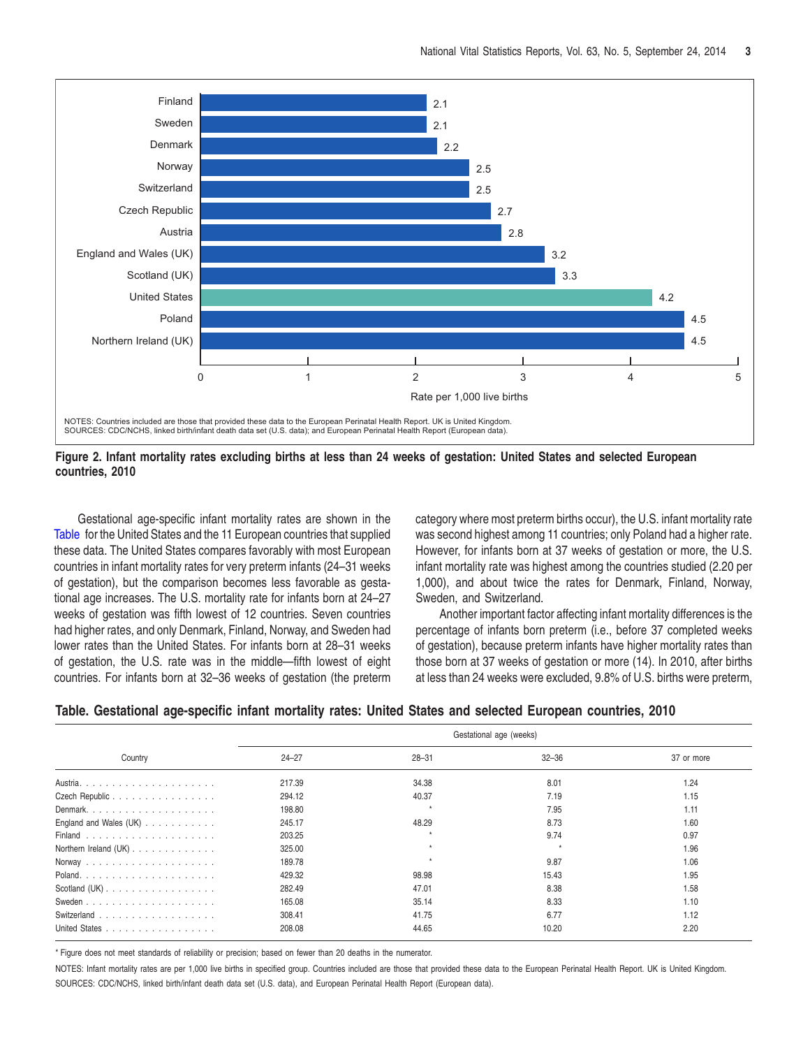<span id="page-2-0"></span>

Figure 2. Infant mortality rates excluding births at less than 24 weeks of gestation: United States and selected European **countries, 2010**

Table for the United States and the 11 European countries that supplied was second highest among 11 countries; only Poland had a higher rate. these data. The United States compares favorably with most European However, for infants born at 37 weeks of gestation or more, the U.S. countries in infant mortality rates for very preterm infants (24–31 weeks infant mortality rate was highest among the countries studied (2.20 per of gestation), but the comparison becomes less favorable as gesta- 1,000), and about twice the rates for Denmark, Finland, Norway, tional age increases. The U.S. mortality rate for infants born at 24–27 Sweden, and Switzerland. weeks of gestation was fifth lowest of 12 countries. Seven countries Another important factor affecting infant mortality differences is the had higher rates, and only Denmark, Finland, Norway, and Sweden had percentage of infants born preterm (i.e., before 37 completed weeks lower rates than the United States. For infants born at 28–31 weeks of gestation), because preterm infants have higher mortality rates than of gestation, the U.S. rate was in the middle—fifth lowest of eight those born at 37 weeks of gestation or more (14). In 2010, after births countries. For infants born at 32–36 weeks of gestation (the preterm at less than 24 weeks were excluded, 9.8% of U.S. births were preterm,

Gestational age-specific infant mortality rates are shown in the category where most preterm births occur), the U.S. infant mortality rate

|  |  | Table. Gestational age-specific infant mortality rates: United States and selected European countries, 2010 |  |  |  |  |  |  |  |  |  |  |  |
|--|--|-------------------------------------------------------------------------------------------------------------|--|--|--|--|--|--|--|--|--|--|--|
|--|--|-------------------------------------------------------------------------------------------------------------|--|--|--|--|--|--|--|--|--|--|--|

|                          | Gestational age (weeks) |           |           |            |  |  |  |
|--------------------------|-------------------------|-----------|-----------|------------|--|--|--|
| Country                  | $24 - 27$               | $28 - 31$ | $32 - 36$ | 37 or more |  |  |  |
|                          | 217.39                  | 34.38     | 8.01      | 1.24       |  |  |  |
| Czech Republic           | 294.12                  | 40.37     | 7.19      | 1.15       |  |  |  |
| Denmark                  | 198.80                  |           | 7.95      | 1.11       |  |  |  |
| England and Wales $(UK)$ | 245.17                  | 48.29     | 8.73      | 1.60       |  |  |  |
|                          | 203.25                  | $\star$   | 9.74      | 0.97       |  |  |  |
| Northern Ireland (UK)    | 325.00                  |           |           | 1.96       |  |  |  |
|                          | 189.78                  |           | 9.87      | 1.06       |  |  |  |
|                          | 429.32                  | 98.98     | 15.43     | 1.95       |  |  |  |
| Scotland $(UK)$ .        | 282.49                  | 47.01     | 8.38      | 1.58       |  |  |  |
|                          | 165.08                  | 35.14     | 8.33      | 1.10       |  |  |  |
| Switzerland              | 308.41                  | 41.75     | 6.77      | 1.12       |  |  |  |
| United States            | 208.08                  | 44.65     | 10.20     | 2.20       |  |  |  |

\* Figure does not meet standards of reliability or precision; based on fewer than 20 deaths in the numerator.

NOTES: Infant mortality rates are per 1,000 live births in specified group. Countries included are those that provided these data to the European Perinatal Health Report. UK is United Kingdom. SOURCES: CDC/NCHS, linked birth/infant death data set (U.S. data), and European Perinatal Health Report (European data).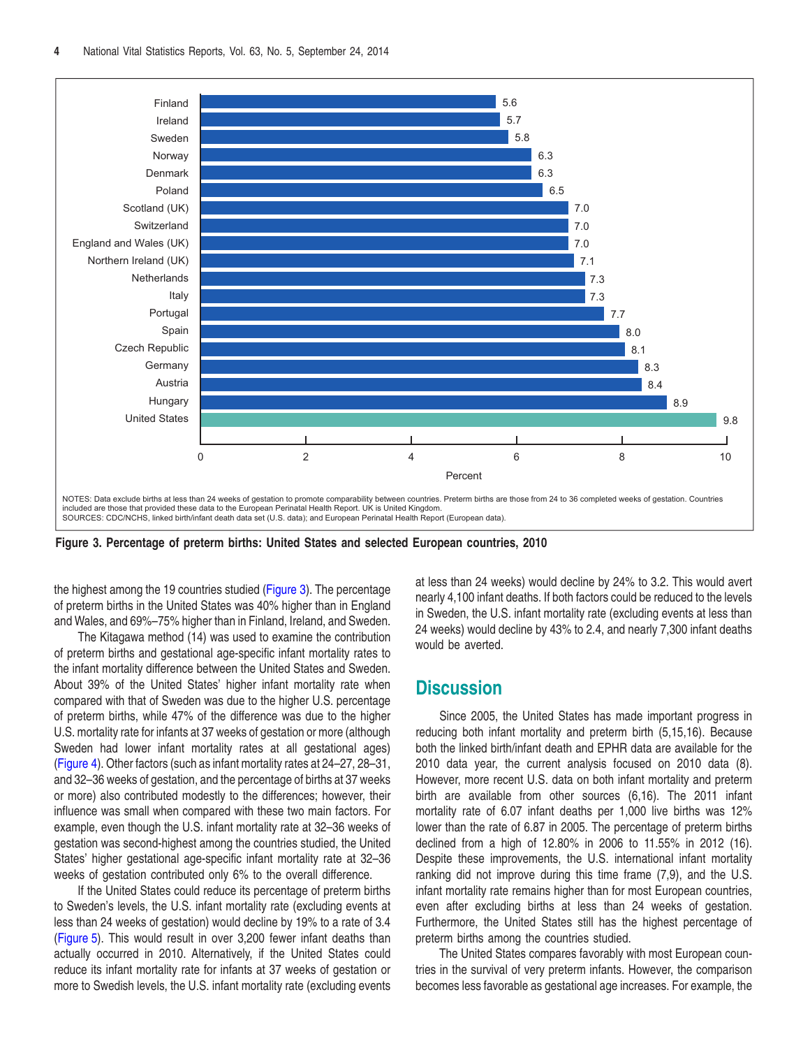<span id="page-3-0"></span>

**Figure 3. Percentage of preterm births: United States and selected European countries, 2010**

the highest among the 19 countries studied (Figure 3). The percentage of preterm births in the United States was 40% higher than in England and Wales, and 69%–75% higher than in Finland, Ireland, and Sweden.

The Kitagawa method (14) was used to examine the contribution of preterm births and gestational age-specific infant mortality rates to the infant mortality difference between the United States and Sweden. About 39% of the United States' higher infant mortality rate when compared with that of Sweden was due to the higher U.S. percentage of preterm births, while 47% of the difference was due to the higher U.S. mortality rate for infants at 37 weeks of gestation or more (although Sweden had lower infant mortality rates at all gestational ages) [\(Figure](#page-4-0) 4). Other factors (such as infant mortality rates at 24–27, 28–31, and 32–36 weeks of gestation, and the percentage of births at 37 weeks or more) also contributed modestly to the differences; however, their influence was small when compared with these two main factors. For example, even though the U.S. infant mortality rate at 32–36 weeks of gestation was second-highest among the countries studied, the United States' higher gestational age-specific infant mortality rate at 32–36 weeks of gestation contributed only 6% to the overall difference.

If the United States could reduce its percentage of preterm births to Sweden's levels, the U.S. infant mortality rate (excluding events at less than 24 weeks of gestation) would decline by 19% to a rate of 3.4 [\(Figure](#page-4-0) 5). This would result in over 3,200 fewer infant deaths than actually occurred in 2010. Alternatively, if the United States could reduce its infant mortality rate for infants at 37 weeks of gestation or more to Swedish levels, the U.S. infant mortality rate (excluding events

at less than 24 weeks) would decline by 24% to 3.2. This would avert nearly 4,100 infant deaths. If both factors could be reduced to the levels in Sweden, the U.S. infant mortality rate (excluding events at less than 24 weeks) would decline by 43% to 2.4, and nearly 7,300 infant deaths would be averted.

# **Discussion**

Since 2005, the United States has made important progress in reducing both infant mortality and preterm birth (5,15,16). Because both the linked birth/infant death and EPHR data are available for the 2010 data year, the current analysis focused on 2010 data (8). However, more recent U.S. data on both infant mortality and preterm birth are available from other sources (6,16). The 2011 infant mortality rate of 6.07 infant deaths per 1,000 live births was 12% lower than the rate of 6.87 in 2005. The percentage of preterm births declined from a high of 12.80% in 2006 to 11.55% in 2012 (16). Despite these improvements, the U.S. international infant mortality ranking did not improve during this time frame (7,9), and the U.S. infant mortality rate remains higher than for most European countries, even after excluding births at less than 24 weeks of gestation. Furthermore, the United States still has the highest percentage of preterm births among the countries studied.

The United States compares favorably with most European countries in the survival of very preterm infants. However, the comparison becomes less favorable as gestational age increases. For example, the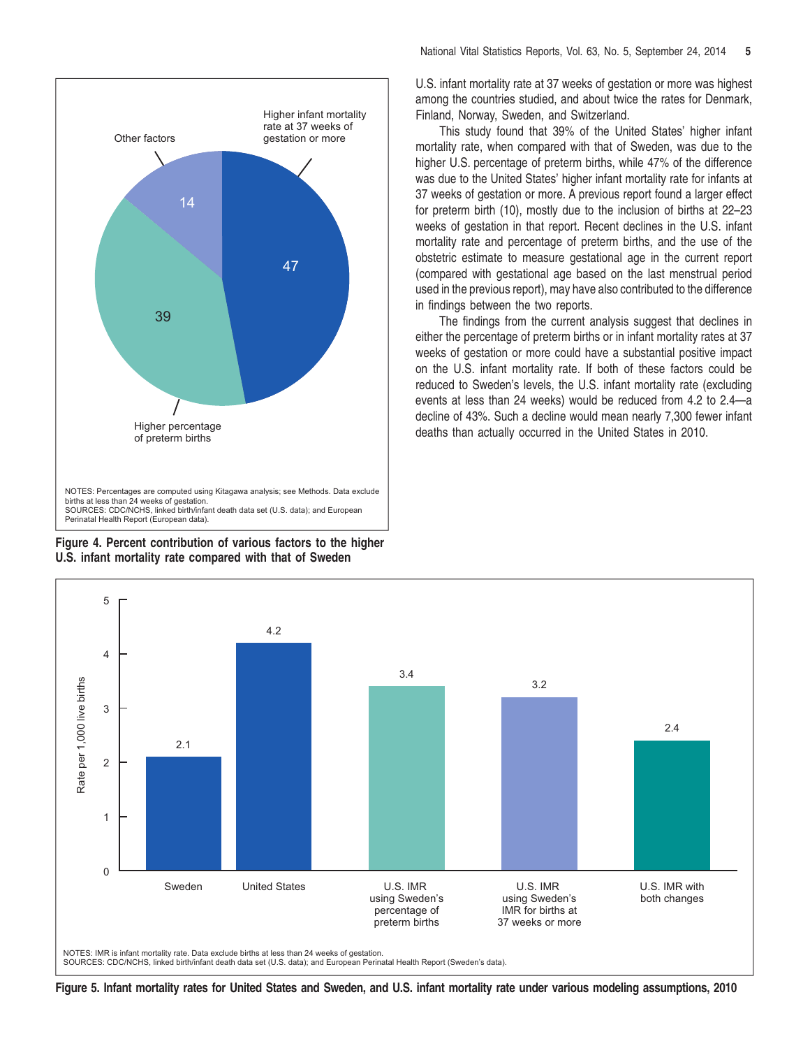<span id="page-4-0"></span>

**Figure 4. Percent contribution of various factors to the higher U.S. infant mortality rate compared with that of Sweden**

U.S. infant mortality rate at 37 weeks of gestation or more was highest among the countries studied, and about twice the rates for Denmark,

This study found that 39% of the United States' higher infant<br>Other factors gestation or more mortality rate, when compared with that of Sweden, was due to the higher U.S. percentage of preterm births, while 47% of the difference was due to the United States' higher infant mortality rate for infants at 37 weeks of gestation or more. A previous report found a larger effect for preterm birth (10), mostly due to the inclusion of births at 22–23 weeks of gestation in that report. Recent declines in the U.S. infant mortality rate and percentage of preterm births, and the use of the obstetric estimate to measure gestational age in the current report (compared with gestational age based on the last menstrual period used in the previous report), may have also contributed to the difference in findings between the two reports.

> The findings from the current analysis suggest that declines in either the percentage of preterm births or in infant mortality rates at 37 weeks of gestation or more could have a substantial positive impact on the U.S. infant mortality rate. If both of these factors could be reduced to Sweden's levels, the U.S. infant mortality rate (excluding events at less than 24 weeks) would be reduced from 4.2 to 2.4—a decline of 43%. Such a decline would mean nearly 7,300 fewer infant deaths than actually occurred in the United States in 2010.



Figure 5. Infant mortality rates for United States and Sweden, and U.S. infant mortality rate under various modeling assumptions, 2010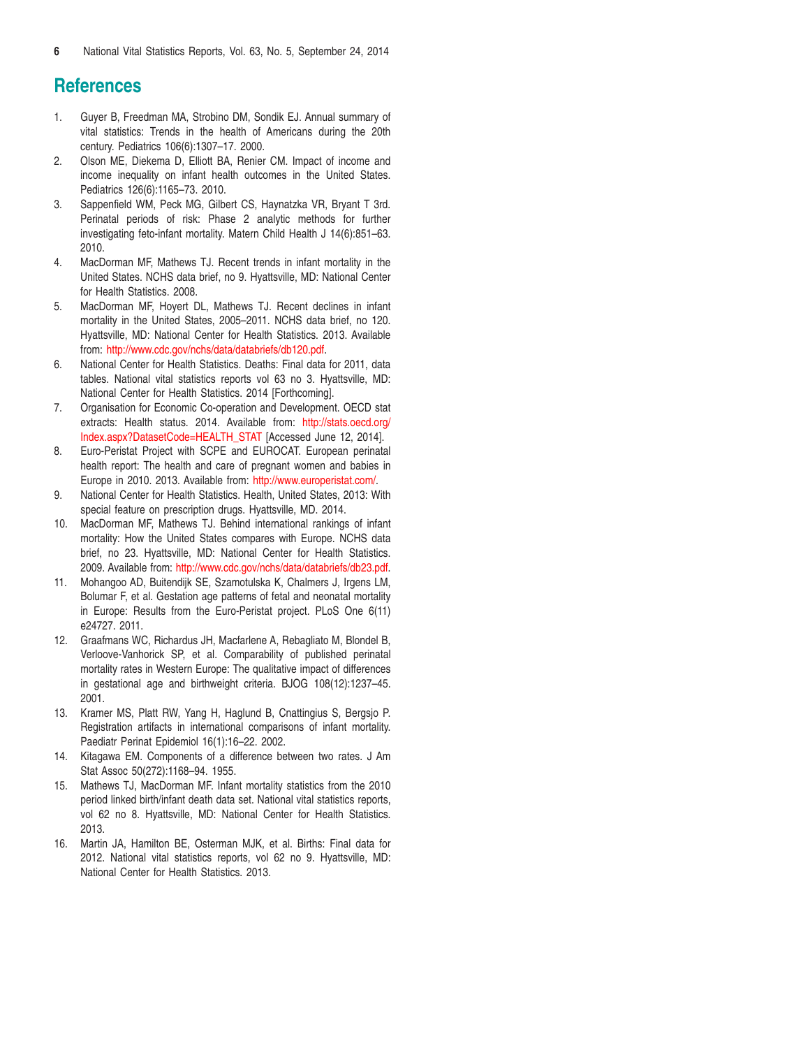# <span id="page-5-0"></span>**References**

- 1. Guyer B, Freedman MA, Strobino DM, Sondik EJ. Annual summary of vital statistics: Trends in the health of Americans during the 20th century. Pediatrics 106(6):1307–17. 2000.
- 2. Olson ME, Diekema D, Elliott BA, Renier CM. Impact of income and income inequality on infant health outcomes in the United States. Pediatrics 126(6):1165–73. 2010.
- 3. Sappenfield WM, Peck MG, Gilbert CS, Haynatzka VR, Bryant T 3rd. Perinatal periods of risk: Phase 2 analytic methods for further investigating feto-infant mortality. Matern Child Health J 14(6):851–63. 2010.
- 4. MacDorman MF, Mathews TJ. Recent trends in infant mortality in the United States. NCHS data brief, no 9. Hyattsville, MD: National Center for Health Statistics. 2008.
- 5. MacDorman MF, Hoyert DL, Mathews TJ. Recent declines in infant mortality in the United States, 2005–2011. NCHS data brief, no 120. Hyattsville, MD: National Center for Health Statistics. 2013. Available from: <http://www.cdc.gov/nchs/data/databriefs/db120.pdf>.
- 6. National Center for Health Statistics. Deaths: Final data for 2011, data tables. National vital statistics reports vol 63 no 3. Hyattsville, MD: National Center for Health Statistics. 2014 [Forthcoming].
- 7. Organisation for Economic Co-operation and Development. OECD stat extracts: Health status. 2014. Available from: [http://stats.oecd.org/](http://stats.oecd.org/Index.aspx?DatasetCode=HEALTH_STAT) [Index.aspx?DatasetCode=HEALTH\\_STAT](http://stats.oecd.org/Index.aspx?DatasetCode=HEALTH_STAT) [Accessed June 12, 2014].
- 8. Euro-Peristat Project with SCPE and EUROCAT. European perinatal health report: The health and care of pregnant women and babies in Europe in 2010. 2013. Available from: <http://www.europeristat.com>/.
- 9. National Center for Health Statistics. Health, United States, 2013: With special feature on prescription drugs. Hyattsville, MD. 2014.
- 10. MacDorman MF, Mathews TJ. Behind international rankings of infant mortality: How the United States compares with Europe. NCHS data brief, no 23. Hyattsville, MD: National Center for Health Statistics. 2009. Available from: <http://www.cdc.gov/nchs/data/databriefs/db23.pdf>.
- 11. Mohangoo AD, Buitendijk SE, Szamotulska K, Chalmers J, Irgens LM, Bolumar F, et al. Gestation age patterns of fetal and neonatal mortality in Europe: Results from the Euro-Peristat project. PLoS One 6(11) e24727. 2011.
- 12. Graafmans WC, Richardus JH, Macfarlene A, Rebagliato M, Blondel B, Verloove-Vanhorick SP, et al. Comparability of published perinatal mortality rates in Western Europe: The qualitative impact of differences in gestational age and birthweight criteria. BJOG 108(12):1237–45. 2001.
- 13. Kramer MS, Platt RW, Yang H, Haglund B, Cnattingius S, Bergsjo P. Registration artifacts in international comparisons of infant mortality. Paediatr Perinat Epidemiol 16(1):16–22. 2002.
- 14. Kitagawa EM. Components of a difference between two rates. J Am Stat Assoc 50(272):1168–94. 1955.
- 15. Mathews TJ, MacDorman MF. Infant mortality statistics from the 2010 period linked birth/infant death data set. National vital statistics reports, vol 62 no 8. Hyattsville, MD: National Center for Health Statistics. 2013.
- 16. Martin JA, Hamilton BE, Osterman MJK, et al. Births: Final data for 2012. National vital statistics reports, vol 62 no 9. Hyattsville, MD: National Center for Health Statistics. 2013.